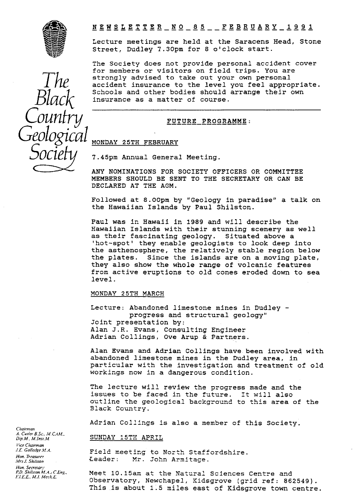

## **<sup>N</sup>** EWSLETTER — NO — 8 5 -- **FEBRUARY — 1 9 9 1 — — -- -- -------- ----**

Lecture meetings are held at the Saracens Head, Stone Street, Dudley 7.30pm for 8 o'clock start.

The Society does not provide personal accident cover for members or visitors on field trips. You are strongly advised to take out your own personal accident insurance to the level you feel appropriate. Schools and other bodies should arrange their own insurance as a matter of course.

## FUTURE PROGRAMME:

### MONDAY 25TH FEBRUARY

7.45pm Annual General Meeting.

ANY NOMINATIONS FOR SOCIETY OFFICERS OR COMMITTEE MEMBERS SHOULD BE SENT TO THE SECRETARY OR CAN BE DECLARED AT THE AGM.

Followed at 8.00pm by "Geology in paradise" a talk on the Hawaiian Islands by Paul Shilston.

Paul was in Hawaii in 1989 and will describe the Hawaiian Islands with their stunning scenery as well as their fascinating geology. Situated above a 'hot-spot' they enable geologists to look deep into the asthenosphere, the **relatively stable** *region* **below** the plates. Since the islands are on a moving plate, they also show the whole range of volcanic features from active eruptions to old cones eroded down to sea level.

## MONDAY 25TH MARCH

Lecture: Abandoned limestone mines in Dudley progress and structural geology" Joint presentation by: Alan J.R. Evans, Consulting Engineer Adrian Collings, Ove Arup & Partners.

Alan Evans and Adrian Collings have, been involved with abandoned limestone mines in the Dudley area, in particular with the investigation and treatment of old workings now in a dangerous condition.

The lecture will review the progress made and the issues to be faced in the future. It will also outline the geological background to this area of the Black Country.

Adrian Collings is also a member of this Society.

### SUNDAY 15TH APRIL

Field meeting to North Staffordshire.<br>Leader: Mr. John Armitace. Mr. John Armitage.

Meet 1O.15am at the Natural Sciences Centre *and* Observatory, Newchapel, Kidsgrove (grid ref: 862549). This is about 1.5 miles east of Kidsgrove town centre.

*Chairman .4. Custer E. M. CAAt.. Dip.M.. Wnsi.M. Vice Chairman*

*!.E Golle4ee.4fA. Hon. Treasurer*

*,.4rs J. Shilston Hon. Secretary P.D. Shilsion M.A.: CEng.. F. /EL All Mcch.E.*

*The Black Country Geological Socie*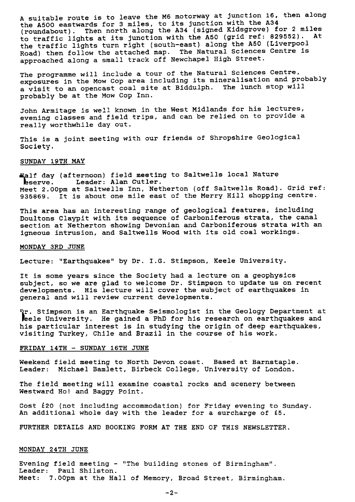A suitable route is to leave the M6 motorway at junction 16, then along the A500 eastwards for 3 miles, to its junction with the A34 (roundabout). Then north along the A34 (signed Kidsgrove) for 2 miles to traffic lights at its junction with the A50 (grid ref: 829552). At the traffic lights turn right (south-east) along the A50 (Liverpool Road) then follow the attached map. The Natural Sciences Centre is approached along a small track off Newchapel High Street.

The programme will include a tour of the Natural Sciences Centre, exposures in the Mow Cop area *including* its mineralisation and probably a visit to an opencast coal site at Biddulph. The lunch stop will probably be at the Mow Cop Inn.

John Armitage is well known in the. West Midlands for his lectures, evening classes and field trips, and can be relied on to provide a really worthwhile day out.

This is a joint meeting with our friends of Shropshire Geological Society.

### SUNDAY 19TH MAY

eserve. if day (afternoon) field meeting to Saltwells local Nature Leader: Alan Cutler. Meet 2.00pm at Saltwells Inn, Netherton (off Saltwells Road). Grid ref: 935869. It is about one mile east of the Merry Hill shopping centre.

This area has an interesting range of geological features, including Doultons Claypit with its sequence of Carboniferous strata, the canal section at Netherton showing Devonian and Carboniferous strata with an igneous intrusion, and Saltwells Wood with its old coal workings.

### MONDAY 3RD JUNE

Lecture: "Earthquakes" by Dr. I.G. Stimpson, Keele University.

It is some years since the Society had a lecture on a geophysics subject, so we are glad to welcome Dr. Stimpson to update us on recent developments. His lecture will cover the subject of earthquakes in general and will review current developments.

leele University. He gained a PhD for his research on earthquakes and . Stimpson is an Earthquake Seismologist in the Geology Department at his particular interest is in studying the origin of deep earthquakes, visiting Turkey, Chile and Brazil in the course of his work.

### FRIDAY 14TH - SUNDAY 16TH JUNE

Weekend field meeting to North Devon coast. Based at Barnstaple. Leader: Michael Bamlett, Birbeck College, University of London.

The field meeting will examine coastal rocks and scenery between Westward Ho! and Baggy Point.

Cost £20 (not including accommodation) for Friday evening to Sunday. An additional whole day with the leader for a surcharge of  $£5$ .

FURTHER DETAILS AND BOOKING FORM AT THE END OF THIS NEWSLETTER.

## MONDAY 24TH JUNE

Evening field meeting - "The building stones of Birmingham". Leader: Paul Shilston. Meet: 7.00pm at *the* Hall of Memory, Broad Street, Birmingham.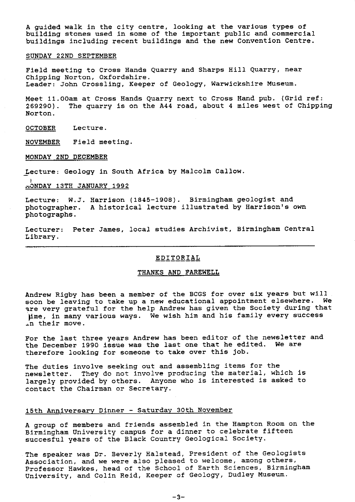**A** guided walk in the city centre, looking at the various types of building stones used in some of the important public and commercial buildings including recent buildings and the new Convention Centre.

### SUNDAY 22ND SEPTEMBER

Field meeting to Cross Hands Quarry and Sharps Hill Quarry, near Chipping Norton, Oxfordshire. Leader: John Crossling, Keeper of Geology, Warwickshire Museum.

Meet 11.00am at Cross Hands Quarry next to Cross Hand pub. (Grid ref: 269290). The quarry is on the A44 road, about 4 miles west of Chipping Norton.

OCTOBER Lecture.

NOVEMBER Field meeting.

MONDAY 2ND DECEMBER

Lecture: Geology in South Africa by Malcolm Callow.

.7, ONDAY 13TH JANUARY 1992

Lecture: W.J. Harrison (1845-1908). Birmingham geologist and photographer. A historical lecture illustrated by Harrison's own photographs.

Lecturer: Peter James, local studies Archivist, Birmingham Central Library.

## EDITORIAL

### THANKS AND FAREWELL

Andrew Rigby has been a member of the BCGS for over six years but will soon be leaving to take up a new educational appointment elsewhere. We are very grateful for the help Andrew has given the Society during that lime, in many various ways. We wish him and his family every success in their move.

For the last three years Andrew has been editor of the newsletter and the December 1990 issue was the last one that he edited. We are therefore looking for someone to take over this job.

The duties involve seeking out and assembling items for the newsletter. They do not involve producing the material, which is largely provided by others. Anyone who is interested is asked to contact the Chairman or Secretary.

# 15th Anniversary Dinner - Saturday 30th November

A group of members and friends assembled in the Hampton Room on the Birmingham University campus for a dinner to celebrate fifteen succesful years of the Black Country Geological Society.

The speaker was Dr. Beverly Halstead, President of the Geologists Association, and we were also pleased to welcome, among others, Professor Hawkes, head of the School of Earth Sciences, Birmingham University, and Colin Reid, Keeper of Geology, Dudley Museum.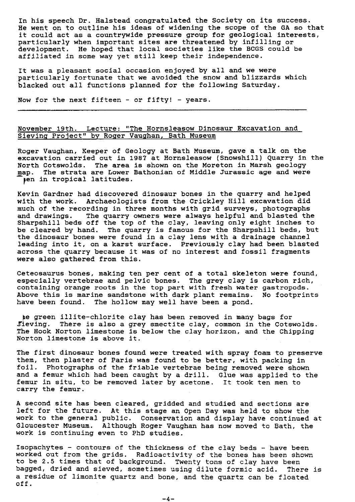In his speech Dr. Halstead congratulated the Society on its success. He went on to outline his ideas of widening the scope of the GA so that it could act as a countrywide pressure group for geological interests, particularly when important sites are threatened by infilling or development. He hoped that local societies like the BCGS could be affiliated in some way yet still keep their independence.

It was a pleasant social occasion enjoyed by all and we were particularly fortunate that we avoided the snow and blizzards which blacked out all functions planned for the following Saturday.

Now for the next fifteen - or fifty! - years.

## November 19th. Lecture: "The Hornsleasow Dinosaur Excavation and Sieving Project" by Roger Vaughan, Bath Museum

Roger Vaughan, Keeper of Geology at Bath Museum, gave a talk on the excavation carried out in 1987 at Hornsleasow (Snowshill) Quarry in the North Cotswolds. The area is shown on the Moreton in Marsh geology map. The strata are Lower Bathonian of Middle Jurassic age and were pen in tropical latitudes.

Kevin Gardner had discovered dinosaur bones in the quarry and helped with the work. Archaeologists from the Crickley Hill excavation did much of the recording in three months with grid surveys, photographs<br>and drawings. The quarry owners were always helpful and blasted the The quarry owners were always helpful and blasted the Sharpshill beds off the top of the clay, leaving only eight inches to be cleared by hand. The quarry is famous for the Sharpshill beds, but the dinosaur bones were found in a clay lens with a drainage channel leading into it, on a karst surface. Previously clay had been blasted across the quarry because it was of no interest and fossil fragments were also gathered from this.

Ceteosaurus bones, making ten per cent of a total skeleton were found, especially vertebrae and pelvic bones. The grey clay is carbon rich, containing orange roots in the top part with fresh water gastropods. Above this is marine sandstone with dark plant remains. No footprints have been found. The hollow may well have been a pond.

be green illite-chlorite clay has been removed in many bags for Sieving. There is also a grey smectite clay, common in the Cotswolds. The Hook Norton limestone is below the clay horizon, and the Chipping Norton limestone is above it.

The first dinosaur bones found were treated with spray foam to preserve them, then plaster of Paris was found to be better, with packing in<br>foil. Photographs of the friable vertebrae being removed were shown Fhotographs of the friable vertebrae being removed were shown and a femur which had been caught by a drill. Glue was applied to the femur in situ, to be removed later by acetone. It took ten men to carry the femur.

A second site has been cleared, gridded and studied and sections are left for the future. At this stage an Open Day was held to show the work to the general public. Conservation and display have continued at Gloucester Museum. Although Roger Vaughan has now moved to Bath, the work is continuing even to PhD studies.

Isopachytes - contours of the thickness of the clay beds - have been worked out from the grids. Radioactivity of the bones has been shown to be 2.5 times that of background. Twenty tons of clay have been bagged, dried and sieved, sometimes using dilute formic acid. There is a residue of limonite quartz and bone, and the quartz can be floated off.